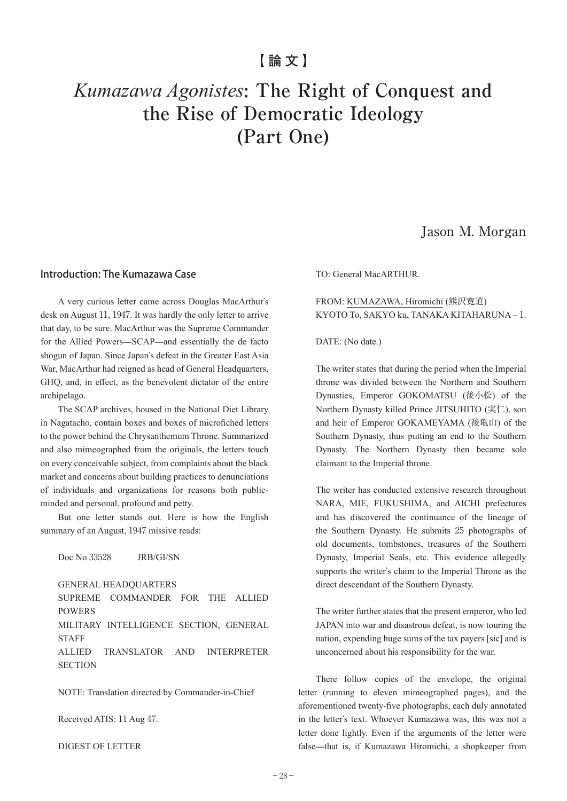## **【論文】**

# *Kumazawa Agonistes***: The Right of Conquest and the Rise of Democratic Ideology (Part One)**

## Jason M. Morgan

#### Introduction: The Kumazawa Case

A very curious letter came across Douglas MacArthur's desk on August 11, 1947. It was hardly the only letter to arrive that day, to be sure. MacArthur was the Supreme Commander for the Allied Powers—SCAP—and essentially the de facto shogun of Japan. Since Japan's defeat in the Greater East Asia War, MacArthur had reigned as head of General Headquarters, GHQ, and, in effect, as the benevolent dictator of the entire archipelago.

The SCAP archives, housed in the National Diet Library in Nagatachō, contain boxes and boxes of microfiched letters to the power behind the Chrysanthemum Throne. Summarized and also mimeographed from the originals, the letters touch on every conceivable subject, from complaints about the black market and concerns about building practices to denunciations of individuals and organizations for reasons both publicminded and personal, profound and petty.

But one letter stands out. Here is how the English summary of an August, 1947 missive reads:

Doc No 33528 JRB/GI/SN

GENERAL HEADQUARTERS SUPREME COMMANDER FOR THE ALLIED POWERS MILITARY INTELLIGENCE SECTION, GENERAL **STAFF** ALLIED TRANSLATOR AND INTERPRETER **SECTION** 

NOTE: Translation directed by Commander-in-Chief

Received ATIS: 11 Aug 47.

DIGEST OF LETTER

TO: General MacARTHUR.

#### FROM: KUMAZAWA, Hiromichi (熊沢寛道) KYOTO To, SAKYO ku, TANAKA KITAHARUNA – 1.

#### DATE: (No date.)

The writer states that during the period when the Imperial throne was divided between the Northern and Southern Dynasties, Emperor GOKOMATSU (後小松) of the Northern Dynasty killed Prince JITSUHITO (実仁), son and heir of Emperor GOKAMEYAMA (後亀山) of the Southern Dynasty, thus putting an end to the Southern Dynasty. The Northern Dynasty then became sole claimant to the Imperial throne.

The writer has conducted extensive research throughout NARA, MIE, FUKUSHIMA, and AICHI prefectures and has discovered the continuance of the lineage of the Southern Dynasty. He submits 25 photographs of old documents, tombstones, treasures of the Southern Dynasty, Imperial Seals, etc. This evidence allegedly supports the writer's claim to the Imperial Throne as the direct descendant of the Southern Dynasty.

The writer further states that the present emperor, who led JAPAN into war and disastrous defeat, is now touring the nation, expending huge sums of the tax payers [sic] and is unconcerned about his responsibility for the war.

There follow copies of the envelope, the original letter (running to eleven mimeographed pages), and the aforementioned twenty-five photographs, each duly annotated in the letter's text. Whoever Kumazawa was, this was not a letter done lightly. Even if the arguments of the letter were false—that is, if Kumazawa Hiromichi, a shopkeeper from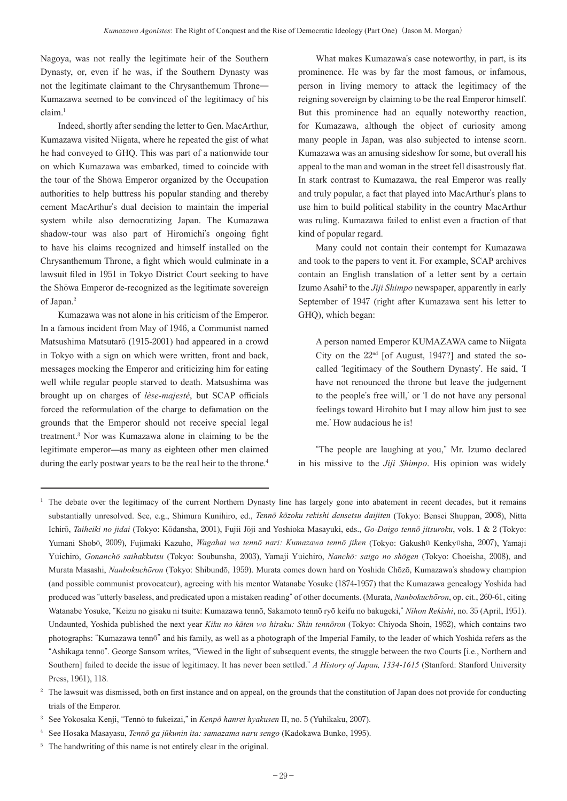Nagoya, was not really the legitimate heir of the Southern Dynasty, or, even if he was, if the Southern Dynasty was not the legitimate claimant to the Chrysanthemum Throne— Kumazawa seemed to be convinced of the legitimacy of his claim. 1

Indeed, shortly after sending the letter to Gen. MacArthur, Kumazawa visited Niigata, where he repeated the gist of what he had conveyed to GHQ. This was part of a nationwide tour on which Kumazawa was embarked, timed to coincide with the tour of the Shōwa Emperor organized by the Occupation authorities to help buttress his popular standing and thereby cement MacArthur's dual decision to maintain the imperial system while also democratizing Japan. The Kumazawa shadow-tour was also part of Hiromichi's ongoing fight to have his claims recognized and himself installed on the Chrysanthemum Throne, a fight which would culminate in a lawsuit filed in 1951 in Tokyo District Court seeking to have the Shōwa Emperor de-recognized as the legitimate sovereign of Japan. 2

Kumazawa was not alone in his criticism of the Emperor. In a famous incident from May of 1946, a Communist named Matsushima Matsutarō (1915-2001) had appeared in a crowd in Tokyo with a sign on which were written, front and back, messages mocking the Emperor and criticizing him for eating well while regular people starved to death. Matsushima was brought up on charges of *lèse-majesté*, but SCAP officials forced the reformulation of the charge to defamation on the grounds that the Emperor should not receive special legal treatment. <sup>3</sup> Nor was Kumazawa alone in claiming to be the legitimate emperor—as many as eighteen other men claimed during the early postwar years to be the real heir to the throne.<sup>4</sup>

What makes Kumazawa's case noteworthy, in part, is its prominence. He was by far the most famous, or infamous, person in living memory to attack the legitimacy of the reigning sovereign by claiming to be the real Emperor himself. But this prominence had an equally noteworthy reaction, for Kumazawa, although the object of curiosity among many people in Japan, was also subjected to intense scorn. Kumazawa was an amusing sideshow for some, but overall his appeal to the man and woman in the street fell disastrously flat. In stark contrast to Kumazawa, the real Emperor was really and truly popular, a fact that played into MacArthur's plans to use him to build political stability in the country MacArthur was ruling. Kumazawa failed to enlist even a fraction of that kind of popular regard.

Many could not contain their contempt for Kumazawa and took to the papers to vent it. For example, SCAP archives contain an English translation of a letter sent by a certain Izumo Asahi <sup>5</sup> to the *Jiji Shimpo* newspaper, apparently in early September of 1947 (right after Kumazawa sent his letter to GHQ), which began:

A person named Emperor KUMAZAWA came to Niigata City on the  $22<sup>nd</sup>$  [of August, 1947?] and stated the socalled ʻlegitimacy of the Southern Dynasty'. He said, ʻI have not renounced the throne but leave the judgement to the people's free will,' or ʻI do not have any personal feelings toward Hirohito but I may allow him just to see me.' How audacious he is!

"The people are laughing at you," Mr. Izumo declared in his missive to the *Jiji Shimpo*. His opinion was widely

<sup>3</sup> See Yokosaka Kenji, "Tennō to fukeizai," in *Kenpō hanrei hyakusen* II, no. 5 (Yuhikaku, 2007).

<sup>5</sup> The handwriting of this name is not entirely clear in the original.

<sup>&</sup>lt;sup>1</sup> The debate over the legitimacy of the current Northern Dynasty line has largely gone into abatement in recent decades, but it remains substantially unresolved. See, e.g., Shimura Kunihiro, ed., *Tennō kōzoku rekishi densetsu daijiten* (Tokyo: Bensei Shuppan, 2008), Nitta Ichirō, *Taiheiki no jidai* (Tokyo: Kōdansha, 2001), Fujii Jōji and Yoshioka Masayuki, eds., *Go-Daigo tennō jitsuroku*, vols. 1 & 2 (Tokyo: Yumani Shobō, 2009), Fujimaki Kazuho, *Wagahai wa tennō nari: Kumazawa tennō jiken* (Tokyo: Gakushū Kenkyūsha, 2007), Yamaji Yūichirō, *Gonanchō saihakkutsu* (Tokyo: Soubunsha, 2003), Yamaji Yūichirō, *Nanchō: saigo no shōgen* (Tokyo: Choeisha, 2008), and Murata Masashi, *Nanbokuchōron* (Tokyo: Shibundō, 1959). Murata comes down hard on Yoshida Chōzō, Kumazawa's shadowy champion (and possible communist provocateur), agreeing with his mentor Watanabe Yosuke (1874-1957) that the Kumazawa genealogy Yoshida had produced was "utterly baseless, and predicated upon a mistaken reading" of other documents. (Murata, *Nanbokuchōron*, op. cit., 260-61, citing Watanabe Yosuke, "Keizu no gisaku ni tsuite: Kumazawa tennō, Sakamoto tennō ryō keifu no bakugeki," *Nihon Rekishi*, no. 35 (April, 1951). Undaunted, Yoshida published the next year *Kiku no kāten wo hiraku: Shin tennōron* (Tokyo: Chiyoda Shoin, 1952), which contains two photographs: "Kumazawa tennō" and his family, as well as a photograph of the Imperial Family, to the leader of which Yoshida refers as the "Ashikaga tennō". George Sansom writes, "Viewed in the light of subsequent events, the struggle between the two Courts [i.e., Northern and Southern] failed to decide the issue of legitimacy. It has never been settled." *A History of Japan, 1334-1615* (Stanford: Stanford University Press, 1961), 118.

<sup>&</sup>lt;sup>2</sup> The lawsuit was dismissed, both on first instance and on appeal, on the grounds that the constitution of Japan does not provide for conducting trials of the Emperor.

<sup>4</sup> See Hosaka Masayasu, *Tennō ga jūkunin ita: samazama naru sengo* (Kadokawa Bunko, 1995).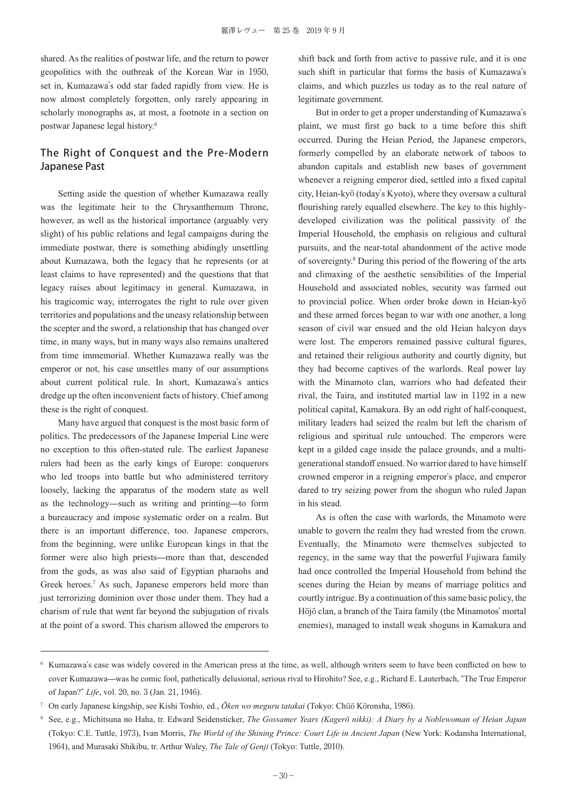shared. As the realities of postwar life, and the return to power geopolitics with the outbreak of the Korean War in 1950, set in, Kumazawa's odd star faded rapidly from view. He is now almost completely forgotten, only rarely appearing in scholarly monographs as, at most, a footnote in a section on postwar Japanese legal history. 6

## The Right of Conquest and the Pre-Modern Japanese Past

Setting aside the question of whether Kumazawa really was the legitimate heir to the Chrysanthemum Throne, however, as well as the historical importance (arguably very slight) of his public relations and legal campaigns during the immediate postwar, there is something abidingly unsettling about Kumazawa, both the legacy that he represents (or at least claims to have represented) and the questions that that legacy raises about legitimacy in general. Kumazawa, in his tragicomic way, interrogates the right to rule over given territories and populations and the uneasy relationship between the scepter and the sword, a relationship that has changed over time, in many ways, but in many ways also remains unaltered from time immemorial. Whether Kumazawa really was the emperor or not, his case unsettles many of our assumptions about current political rule. In short, Kumazawa's antics dredge up the often inconvenient facts of history. Chief among these is the right of conquest.

Many have argued that conquest is the most basic form of politics. The predecessors of the Japanese Imperial Line were no exception to this often-stated rule. The earliest Japanese rulers had been as the early kings of Europe: conquerors who led troops into battle but who administered territory loosely, lacking the apparatus of the modern state as well as the technology—such as writing and printing—to form a bureaucracy and impose systematic order on a realm. But there is an important difference, too. Japanese emperors, from the beginning, were unlike European kings in that the former were also high priests—more than that, descended from the gods, as was also said of Egyptian pharaohs and Greek heroes. <sup>7</sup> As such, Japanese emperors held more than just terrorizing dominion over those under them. They had a charism of rule that went far beyond the subjugation of rivals at the point of a sword. This charism allowed the emperors to

shift back and forth from active to passive rule, and it is one such shift in particular that forms the basis of Kumazawa's claims, and which puzzles us today as to the real nature of legitimate government.

But in order to get a proper understanding of Kumazawa's plaint, we must first go back to a time before this shift occurred. During the Heian Period, the Japanese emperors, formerly compelled by an elaborate network of taboos to abandon capitals and establish new bases of government whenever a reigning emperor died, settled into a fixed capital city, Heian-kyō (today's Kyoto), where they oversaw a cultural flourishing rarely equalled elsewhere. The key to this highlydeveloped civilization was the political passivity of the Imperial Household, the emphasis on religious and cultural pursuits, and the near-total abandonment of the active mode of sovereignty. <sup>8</sup> During this period of the flowering of the arts and climaxing of the aesthetic sensibilities of the Imperial Household and associated nobles, security was farmed out to provincial police. When order broke down in Heian-kyō and these armed forces began to war with one another, a long season of civil war ensued and the old Heian halcyon days were lost. The emperors remained passive cultural figures, and retained their religious authority and courtly dignity, but they had become captives of the warlords. Real power lay with the Minamoto clan, warriors who had defeated their rival, the Taira, and instituted martial law in 1192 in a new political capital, Kamakura. By an odd right of half-conquest, military leaders had seized the realm but left the charism of religious and spiritual rule untouched. The emperors were kept in a gilded cage inside the palace grounds, and a multigenerational standoff ensued. No warrior dared to have himself crowned emperor in a reigning emperor's place, and emperor dared to try seizing power from the shogun who ruled Japan in his stead.

As is often the case with warlords, the Minamoto were unable to govern the realm they had wrested from the crown. Eventually, the Minamoto were themselves subjected to regency, in the same way that the powerful Fujiwara family had once controlled the Imperial Household from behind the scenes during the Heian by means of marriage politics and courtly intrigue.By a continuation of thissame basic policy, the Hōjō clan, a branch of the Taira family (the Minamotos' mortal enemies), managed to install weak shoguns in Kamakura and

<sup>6</sup> Kumazawa's case was widely covered in the American press at the time, as well, although writers seem to have been conflicted on how to cover Kumazawa—was he comic fool, pathetically delusional, serious rival to Hirohito? See, e.g., Richard E. Lauterbach, "The True Emperor of Japan?" *Life*, vol. 20, no. 3 (Jan. 21, 1946).

<sup>7</sup> On early Japanese kingship, see Kishi Toshio, ed., *Ōken wo meguru tatakai* (Tokyo: Chūō Kōronsha, 1986).

<sup>8</sup> See, e.g., Michitsuna no Haha, tr. Edward Seidensticker, *The Gossamer Years (Kagerō nikki): A Diary by a Noblewoman of Heian Japan*  (Tokyo: C.E. Tuttle, 1973), Ivan Morris, *The World of the Shining Prince: Court Life in Ancient Japan* (New York: Kodansha International, 1964), and Murasaki Shikibu, tr. Arthur Waley, *The Tale of Genji* (Tokyo: Tuttle, 2010).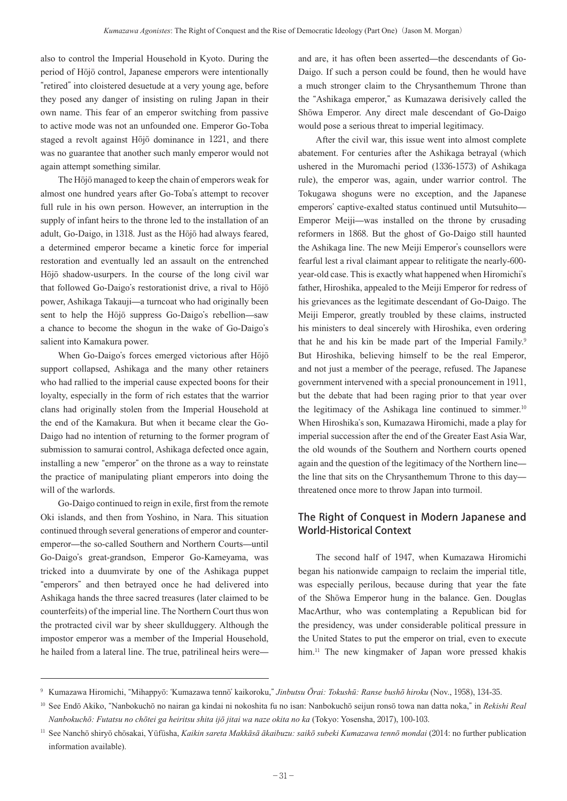also to control the Imperial Household in Kyoto. During the period of Hōjō control, Japanese emperors were intentionally "retired" into cloistered desuetude at a very young age, before they posed any danger of insisting on ruling Japan in their own name. This fear of an emperor switching from passive to active mode was not an unfounded one. Emperor Go-Toba staged a revolt against Hōjō dominance in 1221, and there was no guarantee that another such manly emperor would not again attempt something similar.

The Hōjō managed to keep the chain of emperors weak for almost one hundred years after Go-Toba's attempt to recover full rule in his own person. However, an interruption in the supply of infant heirs to the throne led to the installation of an adult, Go-Daigo, in 1318. Just as the Hōjō had always feared, a determined emperor became a kinetic force for imperial restoration and eventually led an assault on the entrenched Hōjō shadow-usurpers. In the course of the long civil war that followed Go-Daigo's restorationist drive, a rival to Hōjō power, Ashikaga Takauji—a turncoat who had originally been sent to help the Hōjō suppress Go-Daigo's rebellion—saw a chance to become the shogun in the wake of Go-Daigo's salient into Kamakura power.

When Go-Daigo's forces emerged victorious after Hōjō support collapsed, Ashikaga and the many other retainers who had rallied to the imperial cause expected boons for their loyalty, especially in the form of rich estates that the warrior clans had originally stolen from the Imperial Household at the end of the Kamakura. But when it became clear the Go-Daigo had no intention of returning to the former program of submission to samurai control, Ashikaga defected once again, installing a new "emperor" on the throne as a way to reinstate the practice of manipulating pliant emperors into doing the will of the warlords.

Go-Daigo continued to reign in exile, first from the remote Oki islands, and then from Yoshino, in Nara. This situation continued through several generations of emperor and counteremperor—the so-called Southern and Northern Courts—until Go-Daigo's great-grandson, Emperor Go-Kameyama, was tricked into a duumvirate by one of the Ashikaga puppet "emperors" and then betrayed once he had delivered into Ashikaga hands the three sacred treasures (later claimed to be counterfeits) of the imperial line. The Northern Court thus won the protracted civil war by sheer skullduggery. Although the impostor emperor was a member of the Imperial Household, he hailed from a lateral line. The true, patrilineal heirs were—

and are, it has often been asserted—the descendants of Go-Daigo. If such a person could be found, then he would have a much stronger claim to the Chrysanthemum Throne than the "Ashikaga emperor," as Kumazawa derisively called the Shōwa Emperor. Any direct male descendant of Go-Daigo would pose a serious threat to imperial legitimacy.

After the civil war, this issue went into almost complete abatement. For centuries after the Ashikaga betrayal (which ushered in the Muromachi period (1336-1573) of Ashikaga rule), the emperor was, again, under warrior control. The Tokugawa shoguns were no exception, and the Japanese emperors' captive-exalted status continued until Mutsuhito— Emperor Meiji—was installed on the throne by crusading reformers in 1868. But the ghost of Go-Daigo still haunted the Ashikaga line. The new Meiji Emperor's counsellors were fearful lest a rival claimant appear to relitigate the nearly-600 year-old case. This is exactly what happened when Hiromichi's father, Hiroshika, appealed to the Meiji Emperor for redress of his grievances as the legitimate descendant of Go-Daigo. The Meiji Emperor, greatly troubled by these claims, instructed his ministers to deal sincerely with Hiroshika, even ordering that he and his kin be made part of the Imperial Family.<sup>9</sup> But Hiroshika, believing himself to be the real Emperor, and not just a member of the peerage, refused. The Japanese government intervened with a special pronouncement in 1911, but the debate that had been raging prior to that year over the legitimacy of the Ashikaga line continued to simmer.<sup>10</sup> When Hiroshika's son, Kumazawa Hiromichi, made a play for imperial succession after the end of the Greater East Asia War, the old wounds of the Southern and Northern courts opened again and the question of the legitimacy of the Northern line the line that sits on the Chrysanthemum Throne to this day threatened once more to throw Japan into turmoil.

## The Right of Conquest in Modern Japanese and World-Historical Context

The second half of 1947, when Kumazawa Hiromichi began his nationwide campaign to reclaim the imperial title, was especially perilous, because during that year the fate of the Shōwa Emperor hung in the balance. Gen. Douglas MacArthur, who was contemplating a Republican bid for the presidency, was under considerable political pressure in the United States to put the emperor on trial, even to execute him. <sup>11</sup> The new kingmaker of Japan wore pressed khakis

<sup>9</sup> Kumazawa Hiromichi, "Mihappyō: ʻKumazawa tennō' kaikoroku," *Jinbutsu Ōrai: Tokushū: Ranse bushō hiroku* (Nov., 1958), 134-35.

<sup>10</sup> See Endō Akiko, "Nanbokuchō no nairan ga kindai ni nokoshita fu no isan: Nanbokuchō seijun ronsō towa nan datta noka," in *Rekishi Real Nanbokuchō: Futatsu no chōtei ga heiritsu shita ijō jitai wa naze okita no ka* (Tokyo: Yosensha, 2017), 100-103.

<sup>11</sup> See Nanchō shiryō chōsakai, Yūfūsha, *Kaikin sareta Makkāsā ākaibuzu: saikō subeki Kumazawa tennō mondai* (2014: no further publication information available).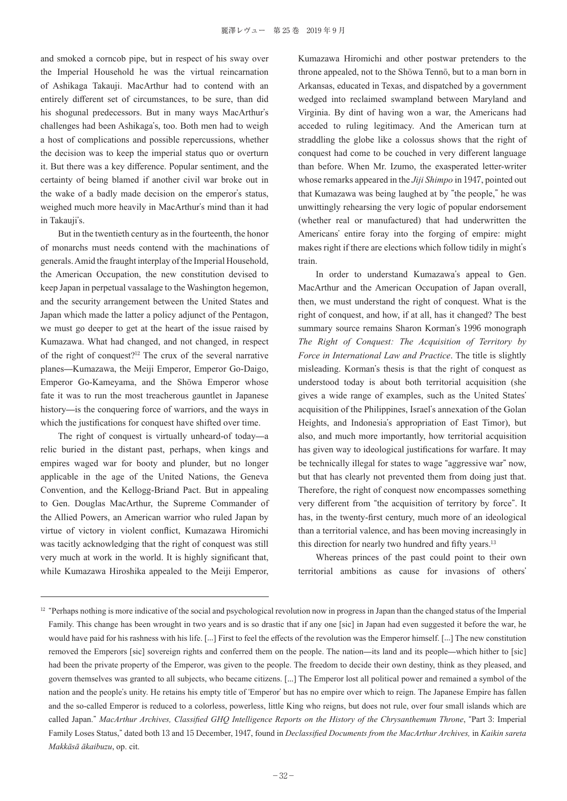and smoked a corncob pipe, but in respect of his sway over the Imperial Household he was the virtual reincarnation of Ashikaga Takauji. MacArthur had to contend with an entirely different set of circumstances, to be sure, than did his shogunal predecessors. But in many ways MacArthur's challenges had been Ashikaga's, too. Both men had to weigh a host of complications and possible repercussions, whether the decision was to keep the imperial status quo or overturn it. But there was a key difference. Popular sentiment, and the certainty of being blamed if another civil war broke out in the wake of a badly made decision on the emperor's status, weighed much more heavily in MacArthur's mind than it had in Takauji's.

But in the twentieth century as in the fourteenth, the honor of monarchs must needs contend with the machinations of generals. Amid the fraught interplay of the Imperial Household, the American Occupation, the new constitution devised to keep Japan in perpetual vassalage to the Washington hegemon, and the security arrangement between the United States and Japan which made the latter a policy adjunct of the Pentagon, we must go deeper to get at the heart of the issue raised by Kumazawa. What had changed, and not changed, in respect of the right of conquest?<sup>12</sup> The crux of the several narrative planes—Kumazawa, the Meiji Emperor, Emperor Go-Daigo, Emperor Go-Kameyama, and the Shōwa Emperor whose fate it was to run the most treacherous gauntlet in Japanese history—is the conquering force of warriors, and the ways in which the justifications for conquest have shifted over time.

The right of conquest is virtually unheard-of today—a relic buried in the distant past, perhaps, when kings and empires waged war for booty and plunder, but no longer applicable in the age of the United Nations, the Geneva Convention, and the Kellogg-Briand Pact. But in appealing to Gen. Douglas MacArthur, the Supreme Commander of the Allied Powers, an American warrior who ruled Japan by virtue of victory in violent conflict, Kumazawa Hiromichi was tacitly acknowledging that the right of conquest was still very much at work in the world. It is highly significant that, while Kumazawa Hiroshika appealed to the Meiji Emperor,

Kumazawa Hiromichi and other postwar pretenders to the throne appealed, not to the Shōwa Tennō, but to a man born in Arkansas, educated in Texas, and dispatched by a government wedged into reclaimed swampland between Maryland and Virginia. By dint of having won a war, the Americans had acceded to ruling legitimacy. And the American turn at straddling the globe like a colossus shows that the right of conquest had come to be couched in very different language than before. When Mr. Izumo, the exasperated letter-writer whose remarks appeared in the *Jiji Shimpo* in 1947, pointed out that Kumazawa was being laughed at by "the people," he was unwittingly rehearsing the very logic of popular endorsement (whether real or manufactured) that had underwritten the Americans' entire foray into the forging of empire: might makes right if there are elections which follow tidily in might's train.

In order to understand Kumazawa's appeal to Gen. MacArthur and the American Occupation of Japan overall, then, we must understand the right of conquest. What is the right of conquest, and how, if at all, has it changed? The best summary source remains Sharon Korman's 1996 monograph *The Right of Conquest: The Acquisition of Territory by Force in International Law and Practice*. The title is slightly misleading. Korman's thesis is that the right of conquest as understood today is about both territorial acquisition (she gives a wide range of examples, such as the United States' acquisition of the Philippines, Israel's annexation of the Golan Heights, and Indonesia's appropriation of East Timor), but also, and much more importantly, how territorial acquisition has given way to ideological justifications for warfare. It may be technically illegal for states to wage "aggressive war" now, but that has clearly not prevented them from doing just that. Therefore, the right of conquest now encompasses something very different from "the acquisition of territory by force". It has, in the twenty-first century, much more of an ideological than a territorial valence, and has been moving increasingly in this direction for nearly two hundred and fifty years.<sup>13</sup>

Whereas princes of the past could point to their own territorial ambitions as cause for invasions of others'

 $12$  "Perhaps nothing is more indicative of the social and psychological revolution now in progress in Japan than the changed status of the Imperial Family. This change has been wrought in two years and is so drastic that if any one [sic] in Japan had even suggested it before the war, he would have paid for his rashness with his life. [...] First to feel the effects of the revolution was the Emperor himself. [...] The new constitution removed the Emperors [sic] sovereign rights and conferred them on the people. The nation—its land and its people—which hither to [sic] had been the private property of the Emperor, was given to the people. The freedom to decide their own destiny, think as they pleased, and govern themselves was granted to all subjects, who became citizens. [...] The Emperor lost all political power and remained a symbol of the nation and the people's unity. He retains his empty title of ʻEmperor' but has no empire over which to reign. The Japanese Empire has fallen and the so-called Emperor is reduced to a colorless, powerless, little King who reigns, but does not rule, over four small islands which are called Japan." *MacArthur Archives, Classified GHQ Intelligence Reports on the History of the Chrysanthemum Throne*, "Part 3: Imperial Family Loses Status," dated both 13 and 15 December, 1947, found in *Declassified Documents from the MacArthur Archives,* in *Kaikin sareta Makkāsā ākaibuzu*, op. cit.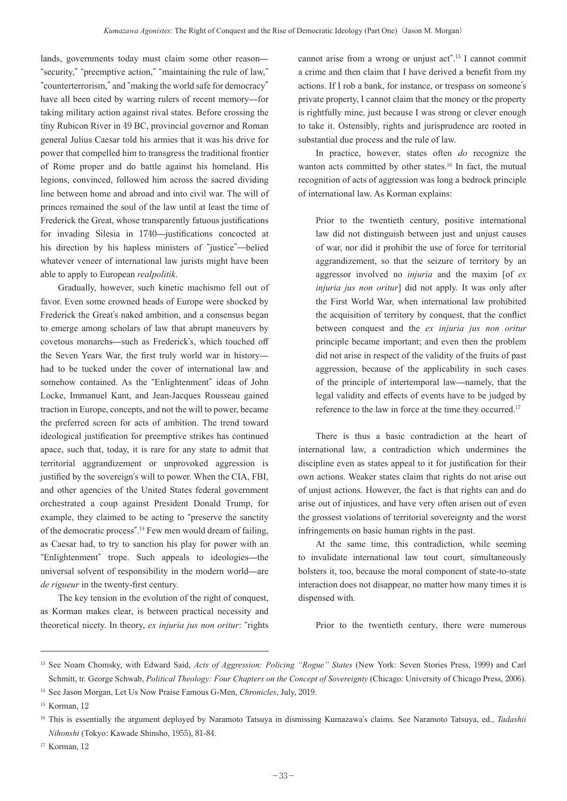lands, governments today must claim some other reason— "security," "preemptive action," "maintaining the rule of law," "counterterrorism," and "making the world safe for democracy" have all been cited by warring rulers of recent memory—for taking military action against rival states. Before crossing the tiny Rubicon River in 49 BC, provincial governor and Roman general Julius Caesar told his armies that it was his drive for power that compelled him to transgress the traditional frontier of Rome proper and do battle against his homeland. His legions, convinced, followed him across the sacred dividing line between home and abroad and into civil war. The will of princes remained the soul of the law until at least the time of Frederick the Great, whose transparently fatuous justifications for invading Silesia in 1740—justifications concocted at his direction by his hapless ministers of "justice"—belied whatever veneer of international law jurists might have been able to apply to European *realpolitik*.

Gradually, however, such kinetic machismo fell out of favor. Even some crowned heads of Europe were shocked by Frederick the Great's naked ambition, and a consensus began to emerge among scholars of law that abrupt maneuvers by covetous monarchs—such as Frederick's, which touched off the Seven Years War, the first truly world war in history had to be tucked under the cover of international law and somehow contained. As the "Enlightenment" ideas of John Locke, Immanuel Kant, and Jean-Jacques Rousseau gained traction in Europe, concepts, and not the will to power, became the preferred screen for acts of ambition. The trend toward ideological justification for preemptive strikes has continued apace, such that, today, it is rare for any state to admit that territorial aggrandizement or unprovoked aggression is justified by the sovereign's will to power. When the CIA, FBI, and other agencies of the United States federal government orchestrated a coup against President Donald Trump, for example, they claimed to be acting to "preserve the sanctity of the democratic process". <sup>14</sup> Few men would dream of failing, as Caesar had, to try to sanction his play for power with an "Enlightenment" trope. Such appeals to ideologies—the universal solvent of responsibility in the modern world—are *de rigueur* in the twenty-first century.

The key tension in the evolution of the right of conquest, as Korman makes clear, is between practical necessity and theoretical nicety. In theory, *ex injuria jus non oritur*: "rights

cannot arise from a wrong or unjust act". <sup>15</sup> I cannot commit a crime and then claim that I have derived a benefit from my actions. If I rob a bank, for instance, or trespass on someone's private property, I cannot claim that the money or the property is rightfully mine, just because I was strong or clever enough to take it. Ostensibly, rights and jurisprudence are rooted in substantial due process and the rule of law.

In practice, however, states often *do* recognize the wanton acts committed by other states. <sup>16</sup> In fact, the mutual recognition of acts of aggression was long a bedrock principle of international law. As Korman explains:

Prior to the twentieth century, positive international law did not distinguish between just and unjust causes of war, nor did it prohibit the use of force for territorial aggrandizement, so that the seizure of territory by an aggressor involved no *injuria* and the maxim [of *ex injuria jus non oritur*] did not apply. It was only after the First World War, when international law prohibited the acquisition of territory by conquest, that the conflict between conquest and the *ex injuria jus non oritur* principle became important; and even then the problem did not arise in respect of the validity of the fruits of past aggression, because of the applicability in such cases of the principle of intertemporal law—namely, that the legal validity and effects of events have to be judged by reference to the law in force at the time they occurred.<sup>17</sup>

There is thus a basic contradiction at the heart of international law, a contradiction which undermines the discipline even as states appeal to it for justification for their own actions. Weaker states claim that rights do not arise out of unjust actions. However, the fact is that rights can and do arise out of injustices, and have very often arisen out of even the grossest violations of territorial sovereignty and the worst infringements on basic human rights in the past.

At the same time, this contradiction, while seeming to invalidate international law tout court, simultaneously bolsters it, too, because the moral component of state-to-state interaction does not disappear, no matter how many times it is dispensed with.

Prior to the twentieth century, there were numerous

<sup>13</sup> See Noam Chomsky, with Edward Said, *Acts of Aggression: Policing "Rogue" States* (New York: Seven Stories Press, 1999) and Carl Schmitt, tr. George Schwab, *Political Theology: Four Chapters on the Concept of Sovereignty* (Chicago: University of Chicago Press, 2006).

<sup>14</sup> See Jason Morgan, Let Us Now Praise Famous G-Men, *Chronicles*, July, 2019.

<sup>15</sup> Korman, 12

<sup>&</sup>lt;sup>16</sup> This is essentially the argument deployed by Naramoto Tatsuya in dismissing Kumazawa's claims. See Naramoto Tatsuya, ed., *Tadashii Nihonshi* (Tokyo: Kawade Shinsho, 1955), 81-84.

<sup>&</sup>lt;sup>17</sup> Korman, 12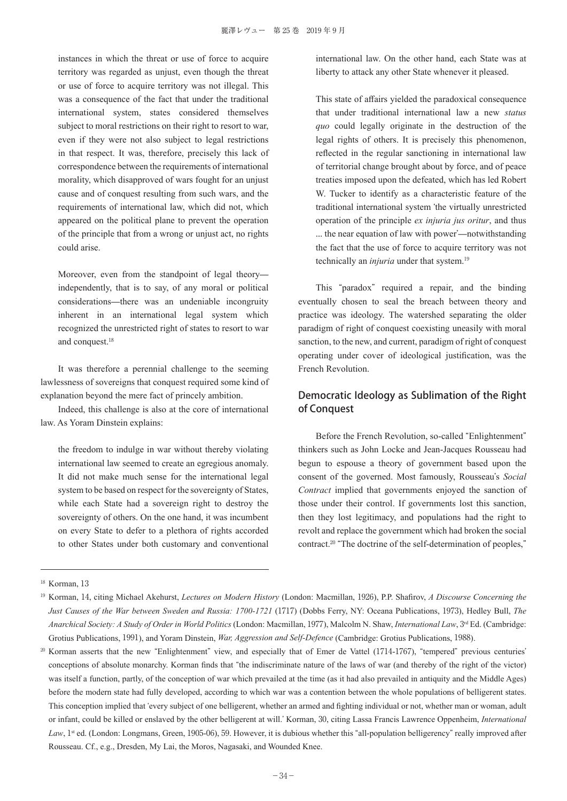instances in which the threat or use of force to acquire territory was regarded as unjust, even though the threat or use of force to acquire territory was not illegal. This was a consequence of the fact that under the traditional international system, states considered themselves subject to moral restrictions on their right to resort to war, even if they were not also subject to legal restrictions in that respect. It was, therefore, precisely this lack of correspondence between the requirements of international morality, which disapproved of wars fought for an unjust cause and of conquest resulting from such wars, and the requirements of international law, which did not, which appeared on the political plane to prevent the operation of the principle that from a wrong or unjust act, no rights could arise.

Moreover, even from the standpoint of legal theory independently, that is to say, of any moral or political considerations—there was an undeniable incongruity inherent in an international legal system which recognized the unrestricted right of states to resort to war and conquest. 18

It was therefore a perennial challenge to the seeming lawlessness of sovereigns that conquest required some kind of explanation beyond the mere fact of princely ambition.

Indeed, this challenge is also at the core of international law. As Yoram Dinstein explains:

the freedom to indulge in war without thereby violating international law seemed to create an egregious anomaly. It did not make much sense for the international legal system to be based on respect for the sovereignty of States, while each State had a sovereign right to destroy the sovereignty of others. On the one hand, it was incumbent on every State to defer to a plethora of rights accorded to other States under both customary and conventional

international law. On the other hand, each State was at liberty to attack any other State whenever it pleased.

This state of affairs yielded the paradoxical consequence that under traditional international law a new *status quo* could legally originate in the destruction of the legal rights of others. It is precisely this phenomenon, reflected in the regular sanctioning in international law of territorial change brought about by force, and of peace treaties imposed upon the defeated, which has led Robert W. Tucker to identify as a characteristic feature of the traditional international system ʻthe virtually unrestricted operation of the principle *ex injuria jus oritur*, and thus ... the near equation of law with power'—notwithstanding the fact that the use of force to acquire territory was not technically an *injuria* under that system. 19

This "paradox" required a repair, and the binding eventually chosen to seal the breach between theory and practice was ideology. The watershed separating the older paradigm of right of conquest coexisting uneasily with moral sanction, to the new, and current, paradigm of right of conquest operating under cover of ideological justification, was the French Revolution.

## Democratic Ideology as Sublimation of the Right of Conquest

Before the French Revolution, so-called "Enlightenment" thinkers such as John Locke and Jean-Jacques Rousseau had begun to espouse a theory of government based upon the consent of the governed. Most famously, Rousseau's *Social Contract* implied that governments enjoyed the sanction of those under their control. If governments lost this sanction, then they lost legitimacy, and populations had the right to revolt and replace the government which had broken the social contract. <sup>20</sup> "The doctrine of the self-determination of peoples,"

<sup>&</sup>lt;sup>18</sup> Korman, 13

<sup>19</sup> Korman, 14, citing Michael Akehurst, *Lectures on Modern History* (London: Macmillan, 1926), P.P. Shafirov, *A Discourse Concerning the Just Causes of the War between Sweden and Russia: 1700-1721* (1717) (Dobbs Ferry, NY: Oceana Publications, 1973), Hedley Bull, *The Anarchical Society: A Study of Order in World Politics* (London: Macmillan, 1977), Malcolm N. Shaw, *International Law*, 3rd Ed. (Cambridge: Grotius Publications, 1991), and Yoram Dinstein, *War, Aggression and Self-Defence* (Cambridge: Grotius Publications, 1988).

<sup>&</sup>lt;sup>20</sup> Korman asserts that the new "Enlightenment" view, and especially that of Emer de Vattel (1714-1767), "tempered" previous centuries' conceptions of absolute monarchy. Korman finds that "the indiscriminate nature of the laws of war (and thereby of the right of the victor) was itself a function, partly, of the conception of war which prevailed at the time (as it had also prevailed in antiquity and the Middle Ages) before the modern state had fully developed, according to which war was a contention between the whole populations of belligerent states. This conception implied that ʻevery subject of one belligerent, whether an armed and fighting individual or not, whether man or woman, adult or infant, could be killed or enslaved by the other belligerent at will.' Korman, 30, citing Lassa Francis Lawrence Oppenheim, *International*  Law, 1<sup>st</sup> ed. (London: Longmans, Green, 1905-06), 59. However, it is dubious whether this "all-population belligerency" really improved after Rousseau. Cf., e.g., Dresden, My Lai, the Moros, Nagasaki, and Wounded Knee.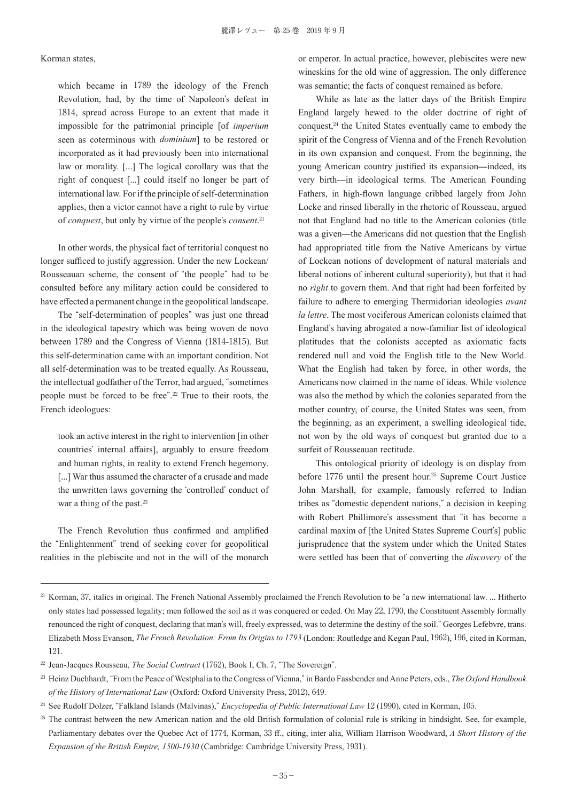#### Korman states,

which became in 1789 the ideology of the French Revolution, had, by the time of Napoleon's defeat in 1814, spread across Europe to an extent that made it impossible for the patrimonial principle [of *imperium* seen as coterminous with *dominium*] to be restored or incorporated as it had previously been into international law or morality. [...] The logical corollary was that the right of conquest [...] could itself no longer be part of international law. For if the principle of self-determination applies, then a victor cannot have a right to rule by virtue of *conquest*, but only by virtue of the people's *consent*. 21

In other words, the physical fact of territorial conquest no longer sufficed to justify aggression. Under the new Lockean/ Rousseauan scheme, the consent of "the people" had to be consulted before any military action could be considered to have effected a permanent change in the geopolitical landscape.

The "self-determination of peoples" was just one thread in the ideological tapestry which was being woven de novo between 1789 and the Congress of Vienna (1814-1815). But this self-determination came with an important condition. Not all self-determination was to be treated equally. As Rousseau, the intellectual godfather of the Terror, had argued, "sometimes people must be forced to be free". <sup>22</sup> True to their roots, the French ideologues:

took an active interest in the right to intervention [in other countries' internal affairs], arguably to ensure freedom and human rights, in reality to extend French hegemony. [...] War thus assumed the character of a crusade and made the unwritten laws governing the ʻcontrolled' conduct of war a thing of the past.<sup>23</sup>

The French Revolution thus confirmed and amplified the "Enlightenment" trend of seeking cover for geopolitical realities in the plebiscite and not in the will of the monarch or emperor. In actual practice, however, plebiscites were new wineskins for the old wine of aggression. The only difference was semantic; the facts of conquest remained as before.

While as late as the latter days of the British Empire England largely hewed to the older doctrine of right of conquest, <sup>24</sup> the United States eventually came to embody the spirit of the Congress of Vienna and of the French Revolution in its own expansion and conquest. From the beginning, the young American country justified its expansion—indeed, its very birth—in ideological terms. The American Founding Fathers, in high-flown language cribbed largely from John Locke and rinsed liberally in the rhetoric of Rousseau, argued not that England had no title to the American colonies (title was a given—the Americans did not question that the English had appropriated title from the Native Americans by virtue of Lockean notions of development of natural materials and liberal notions of inherent cultural superiority), but that it had no *right* to govern them. And that right had been forfeited by failure to adhere to emerging Thermidorian ideologies *avant la lettre*. The most vociferous American colonists claimed that England's having abrogated a now-familiar list of ideological platitudes that the colonists accepted as axiomatic facts rendered null and void the English title to the New World. What the English had taken by force, in other words, the Americans now claimed in the name of ideas. While violence was also the method by which the colonies separated from the mother country, of course, the United States was seen, from the beginning, as an experiment, a swelling ideological tide, not won by the old ways of conquest but granted due to a surfeit of Rousseauan rectitude.

This ontological priority of ideology is on display from before 1776 until the present hour. <sup>25</sup> Supreme Court Justice John Marshall, for example, famously referred to Indian tribes as "domestic dependent nations," a decision in keeping with Robert Phillimore's assessment that "it has become a cardinal maxim of [the United States Supreme Court's] public jurisprudence that the system under which the United States were settled has been that of converting the *discovery* of the

<sup>&</sup>lt;sup>21</sup> Korman, 37, italics in original. The French National Assembly proclaimed the French Revolution to be "a new international law. ... Hitherto only states had possessed legality; men followed the soil as it was conquered or ceded. On May 22, 1790, the Constituent Assembly formally renounced the right of conquest, declaring that man's will, freely expressed, was to determine the destiny of the soil." Georges Lefebvre, trans. Elizabeth Moss Evanson, *The French Revolution: From Its Origins to 1793* (London: Routledge and Kegan Paul, 1962), 196, cited in Korman, 121.

<sup>&</sup>lt;sup>22</sup> Jean-Jacques Rousseau, *The Social Contract* (1762), Book I, Ch. 7, "The Sovereign".

<sup>23</sup> Heinz Duchhardt, "From the Peace of Westphalia to the Congress of Vienna," in Bardo Fassbender andAnne Peters, eds., *The Oxford Handbook of the History of International Law* (Oxford: Oxford University Press, 2012), 649.

<sup>24</sup> See Rudolf Dolzer, "Falkland Islands (Malvinas)," *Encyclopedia of Public International Law* 12 (1990), cited in Korman, 105.

<sup>&</sup>lt;sup>25</sup> The contrast between the new American nation and the old British formulation of colonial rule is striking in hindsight. See, for example, Parliamentary debates over the Quebec Act of 1774, Korman, 33 ff., citing, inter alia, William Harrison Woodward, *A Short History of the Expansion of the British Empire, 1500-1930* (Cambridge: Cambridge University Press, 1931).